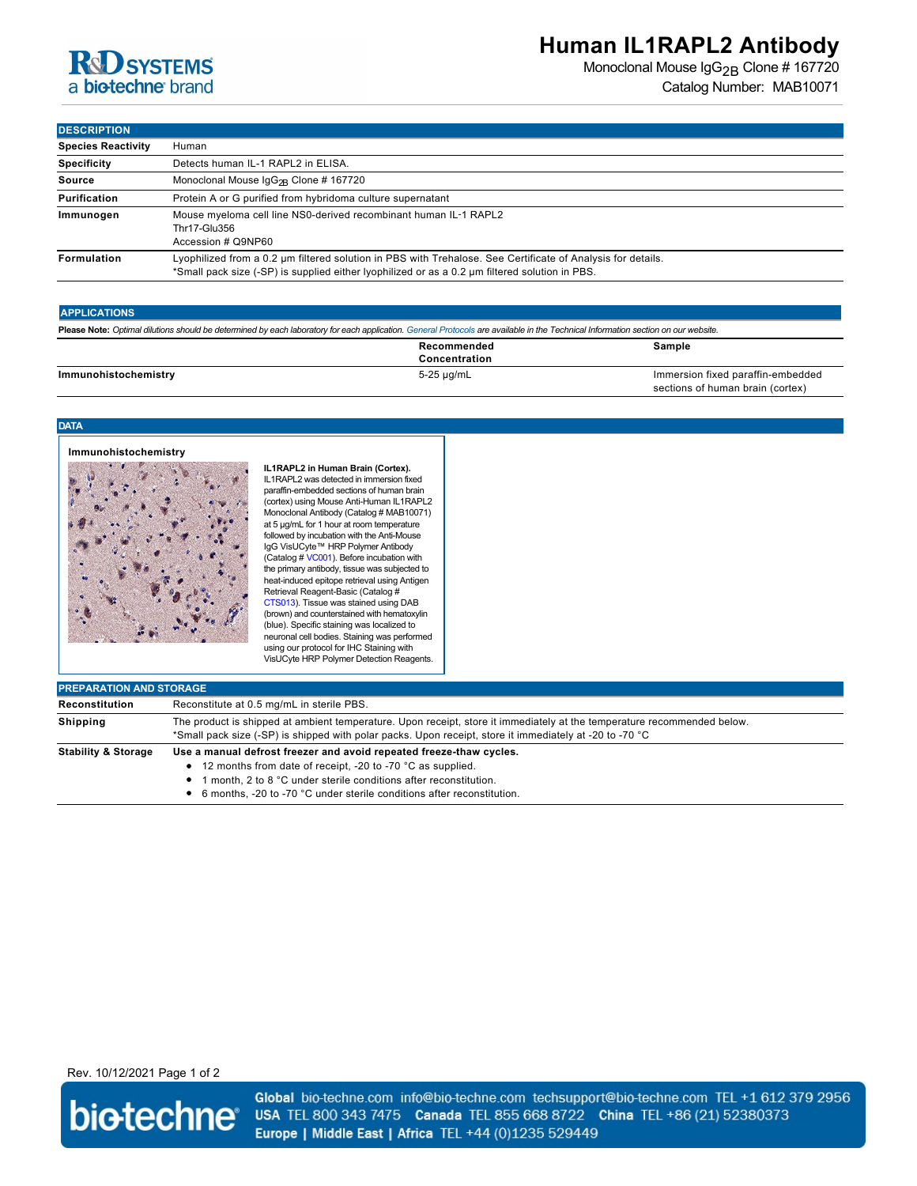# **R&D** SYSTEMS a biotechne brand

## **Human IL1RAPL2 Antibody**

Monoclonal Mouse IgG<sub>2B</sub> Clone # 167720 Catalog Number: MAB10071

**DESCRIPTION** 

| <b>DEJUNIF HUN</b>        |                                                                                                                                                                                                               |  |
|---------------------------|---------------------------------------------------------------------------------------------------------------------------------------------------------------------------------------------------------------|--|
| <b>Species Reactivity</b> | Human                                                                                                                                                                                                         |  |
| <b>Specificity</b>        | Detects human IL-1 RAPL2 in ELISA.                                                                                                                                                                            |  |
| <b>Source</b>             | Monoclonal Mouse $\lg G_{2R}$ Clone # 167720                                                                                                                                                                  |  |
| Purification              | Protein A or G purified from hybridoma culture supernatant                                                                                                                                                    |  |
| Immunogen                 | Mouse myeloma cell line NS0-derived recombinant human IL-1 RAPL2<br>Thr17-Glu356<br>Accession # Q9NP60                                                                                                        |  |
| Formulation               | Lyophilized from a 0.2 um filtered solution in PBS with Trehalose. See Certificate of Analysis for details.<br>*Small pack size (-SP) is supplied either lyophilized or as a 0.2 um filtered solution in PBS. |  |

### **APPLICATIONS**

| Please Note: Optimal dilutions should be determined by each laboratory for each application. General Protocols are available in the Technical Information section on our website. |                              |                                                                       |  |
|-----------------------------------------------------------------------------------------------------------------------------------------------------------------------------------|------------------------------|-----------------------------------------------------------------------|--|
|                                                                                                                                                                                   | Recommended<br>Concentration | Sample                                                                |  |
| Immunohistochemistry                                                                                                                                                              | 5-25 µg/mL                   | Immersion fixed paraffin-embedded<br>sections of human brain (cortex) |  |

### **DATA**

## **Immunohistochemistry**



**IL1RAPL2 in Human Brain (Cortex).** IL1RAPL2 was detected in immersion fixed paraffin-embedded sections of human brain (cortex) using Mouse Anti-Human IL1RAPL2 Monoclonal Antibody (Catalog # MAB10071) at 5 µg/mL for 1 hour at room temperature followed by incubation with the Anti-Mouse IgG VisUCyte™ HRP Polymer Antibody (Catalog # [VC001](https://www.rndsystems.com/search?keywords=VC001)). Before incubation with the primary antibody, tissue was subjected to heat-induced epitope retrieval using Antigen Retrieval Reagent-Basic (Catalog # [CTS013](https://www.rndsystems.com/search?keywords=CTS013)). Tissue was stained using DAB (brown) and counterstained with hematoxylin (blue). Specific staining was localized to neuronal cell bodies. Staining was performed using our protocol for IHC Staining with VisUCyte HRP Polymer Detection Reagents.

| <b>PREPARATION AND STORAGE</b> |                                                                                                                                                                                                                                                                                           |  |
|--------------------------------|-------------------------------------------------------------------------------------------------------------------------------------------------------------------------------------------------------------------------------------------------------------------------------------------|--|
| Reconstitution                 | Reconstitute at 0.5 mg/mL in sterile PBS.                                                                                                                                                                                                                                                 |  |
| <b>Shipping</b>                | The product is shipped at ambient temperature. Upon receipt, store it immediately at the temperature recommended below.<br>*Small pack size (-SP) is shipped with polar packs. Upon receipt, store it immediately at -20 to -70 °C                                                        |  |
| <b>Stability &amp; Storage</b> | Use a manual defrost freezer and avoid repeated freeze-thaw cycles.<br>• 12 months from date of receipt, -20 to -70 °C as supplied.<br>I month. 2 to 8 °C under sterile conditions after reconstitution.<br>٠<br>• 6 months, -20 to -70 °C under sterile conditions after reconstitution. |  |

## Rev. 10/12/2021 Page 1 of 2



Global bio-techne.com info@bio-techne.com techsupport@bio-techne.com TEL +1 612 379 2956 USA TEL 800 343 7475 Canada TEL 855 668 8722 China TEL +86 (21) 52380373 Europe | Middle East | Africa TEL +44 (0)1235 529449